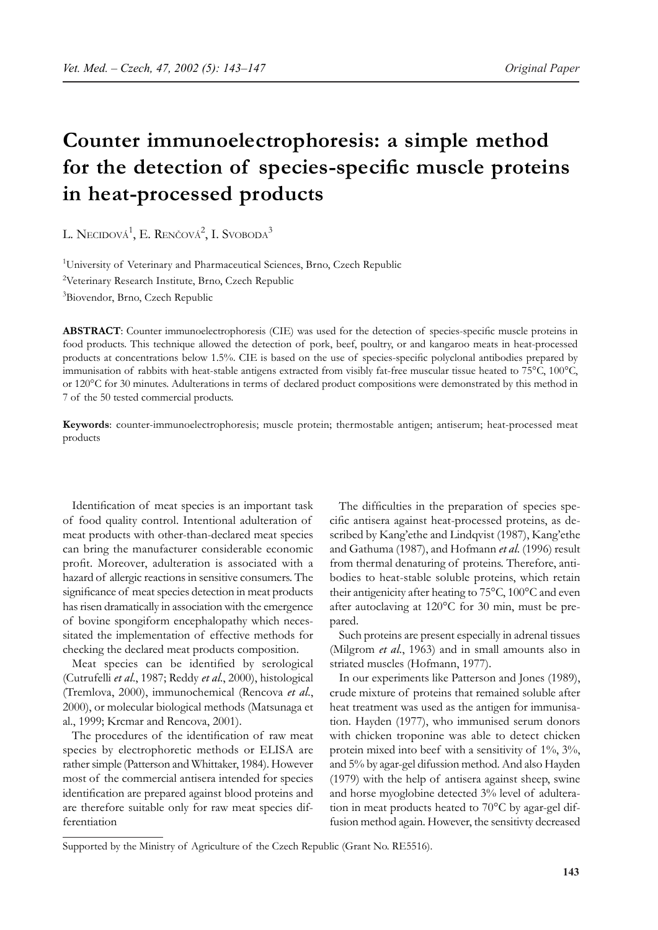# **Counter immunoelectrophoresis: a simple method for the detection of species-specific muscle proteins in heat-processed products**

L. Necidová<sup>1</sup>, E. Renčová<sup>2</sup>, I. Svoboda<sup>3</sup>

<sup>1</sup>University of Veterinary and Pharmaceutical Sciences, Brno, Czech Republic <sup>2</sup>Veterinary Research Institute, Brno, Czech Republic 3 Biovendor, Brno, Czech Republic

**ABSTRACT**: Counter immunoelectrophoresis (CIE) was used for the detection of species-specific muscle proteins in food products. This technique allowed the detection of pork, beef, poultry, or and kangaroo meats in heat-processed products at concentrations below 1.5%. CIE is based on the use of species-specific polyclonal antibodies prepared by immunisation of rabbits with heat-stable antigens extracted from visibly fat-free muscular tissue heated to 75°C, 100°C, or 120°C for 30 minutes. Adulterations in terms of declared product compositions were demonstrated by this method in 7 of the 50 tested commercial products.

**Keywords**: counter-immunoelectrophoresis; muscle protein; thermostable antigen; antiserum; heat-processed meat products

Identification of meat species is an important task of food quality control. Intentional adulteration of meat products with other-than-declared meat species can bring the manufacturer considerable economic profit. Moreover, adulteration is associated with a hazard of allergic reactions in sensitive consumers. The significance of meat species detection in meat products has risen dramatically in association with the emergence of bovine spongiform encephalopathy which necessitated the implementation of effective methods for checking the declared meat products composition.

Meat species can be identified by serological (Cutrufelli *et al*., 1987; Reddy *et al*., 2000), histological (Tremlova, 2000), immunochemical (Rencova *et al*., 2000), or molecular biological methods (Matsunaga et al., 1999; Krcmar and Rencova, 2001).

The procedures of the identification of raw meat species by electrophoretic methods or ELISA are rather simple (Patterson and Whittaker, 1984). However most of the commercial antisera intended for species identification are prepared against blood proteins and are therefore suitable only for raw meat species differentiation

The difficulties in the preparation of species specific antisera against heat-processed proteins, as described by Kang'ethe and Lindqvist (1987), Kang'ethe and Gathuma (1987), and Hofmann *et al*. (1996) result from thermal denaturing of proteins. Therefore, antibodies to heat-stable soluble proteins, which retain their antigenicity after heating to 75°C, 100°C and even after autoclaving at 120°C for 30 min, must be prepared.

Such proteins are present especially in adrenal tissues (Milgrom *et al*., 1963) and in small amounts also in striated muscles (Hofmann, 1977).

In our experiments like Patterson and Jones (1989), crude mixture of proteins that remained soluble after heat treatment was used as the antigen for immunisation. Hayden (1977), who immunised serum donors with chicken troponine was able to detect chicken protein mixed into beef with a sensitivity of 1%, 3%, and 5% by agar-gel difussion method. And also Hayden (1979) with the help of antisera against sheep, swine and horse myoglobine detected 3% level of adulteration in meat products heated to 70°C by agar-gel diffusion method again. However, the sensitivty decreased

Supported by the Ministry of Agriculture of the Czech Republic (Grant No. RE5516).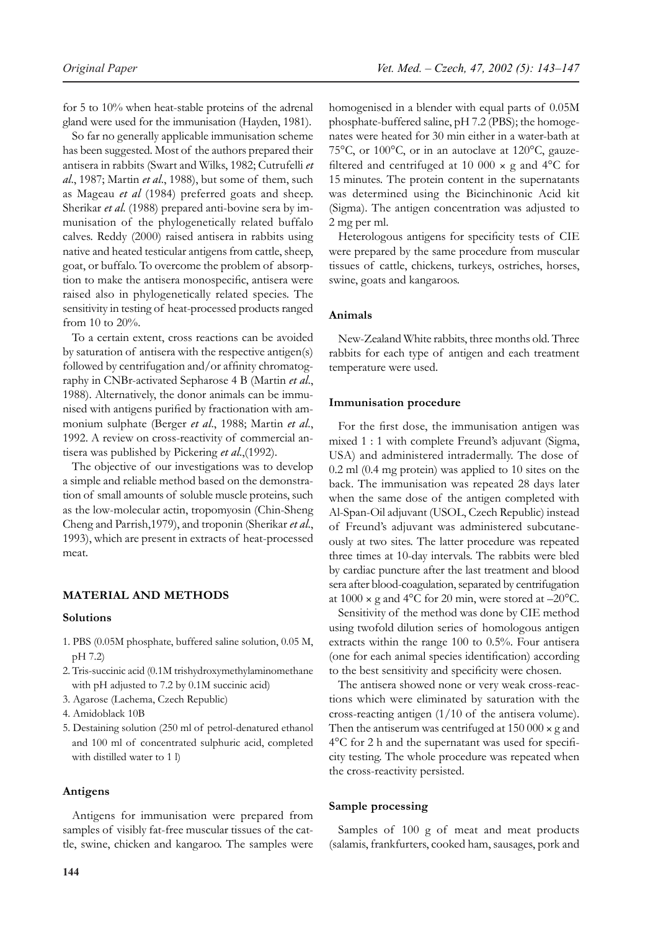for 5 to 10% when heat-stable proteins of the adrenal gland were used for the immunisation (Hayden, 1981).

So far no generally applicable immunisation scheme has been suggested. Most of the authors prepared their antisera in rabbits (Swart and Wilks, 1982; Cutrufelli *et al*., 1987; Martin *et al*., 1988), but some of them, such as Mageau *et al* (1984) preferred goats and sheep. Sherikar *et al*. (1988) prepared anti-bovine sera by immunisation of the phylogenetically related buffalo calves. Reddy (2000) raised antisera in rabbits using native and heated testicular antigens from cattle, sheep, goat, or buffalo. To overcome the problem of absorption to make the antisera monospecific, antisera were raised also in phylogenetically related species. The sensitivity in testing of heat-processed products ranged from 10 to 20%.

To a certain extent, cross reactions can be avoided by saturation of antisera with the respective antigen(s) followed by centrifugation and/or affinity chromatography in CNBr-activated Sepharose 4 B (Martin *et al*., 1988). Alternatively, the donor animals can be immunised with antigens purified by fractionation with ammonium sulphate (Berger *et al*., 1988; Martin *et al*., 1992. A review on cross-reactivity of commercial antisera was published by Pickering *et al*.,(1992).

The objective of our investigations was to develop a simple and reliable method based on the demonstration of small amounts of soluble muscle proteins, such as the low-molecular actin, tropomyosin (Chin-Sheng Cheng and Parrish,1979), and troponin (Sherikar *et al*., 1993), which are present in extracts of heat-processed meat.

## **MATERIAL AND METHODS**

#### **Solutions**

- 1. PBS (0.05M phosphate, buffered saline solution, 0.05 M, pH 7.2)
- 2. Tris-succinic acid (0.1M trishydroxymethylaminomethane with pH adjusted to 7.2 by 0.1M succinic acid)
- 3. Agarose (Lachema, Czech Republic)
- 4. Amidoblack 10B
- 5. Destaining solution (250 ml of petrol-denatured ethanol and 100 ml of concentrated sulphuric acid, completed with distilled water to 1 l)

#### **Antigens**

Antigens for immunisation were prepared from samples of visibly fat-free muscular tissues of the cattle, swine, chicken and kangaroo. The samples were homogenised in a blender with equal parts of 0.05M phosphate-buffered saline, pH 7.2 (PBS); the homogenates were heated for 30 min either in a water-bath at 75°C, or 100°C, or in an autoclave at 120°C, gauzefiltered and centrifuged at 10 000  $\times$  g and 4°C for 15 minutes. The protein content in the supernatants was determined using the Bicinchinonic Acid kit (Sigma). The antigen concentration was adjusted to 2 mg per ml.

Heterologous antigens for specificity tests of CIE were prepared by the same procedure from muscular tissues of cattle, chickens, turkeys, ostriches, horses, swine, goats and kangaroos.

#### **Animals**

New-Zealand White rabbits, three months old. Three rabbits for each type of antigen and each treatment temperature were used.

#### **Immunisation procedure**

For the first dose, the immunisation antigen was mixed 1 : 1 with complete Freund's adjuvant (Sigma, USA) and administered intradermally. The dose of 0.2 ml (0.4 mg protein) was applied to 10 sites on the back. The immunisation was repeated 28 days later when the same dose of the antigen completed with Al-Span-Oil adjuvant (USOL, Czech Republic) instead of Freund's adjuvant was administered subcutaneously at two sites. The latter procedure was repeated three times at 10-day intervals. The rabbits were bled by cardiac puncture after the last treatment and blood sera after blood-coagulation, separated by centrifugation at  $1000 \times g$  and  $4^{\circ}$ C for 20 min, were stored at  $-20^{\circ}$ C.

Sensitivity of the method was done by CIE method using twofold dilution series of homologous antigen extracts within the range 100 to 0.5%. Four antisera (one for each animal species identification) according to the best sensitivity and specificity were chosen.

The antisera showed none or very weak cross-reactions which were eliminated by saturation with the cross-reacting antigen (1/10 of the antisera volume). Then the antiserum was centrifuged at  $150000 \times g$  and 4°C for 2 h and the supernatant was used for specificity testing. The whole procedure was repeated when the cross-reactivity persisted.

## **Sample processing**

Samples of 100 g of meat and meat products (salamis, frankfurters, cooked ham, sausages, pork and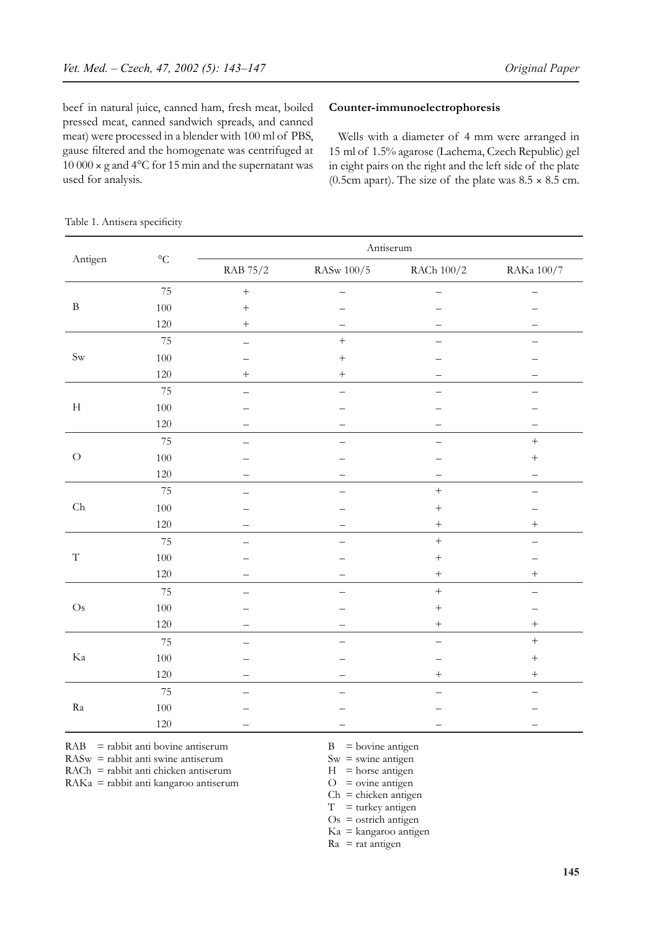beef in natural juice, canned ham, fresh meat, boiled pressed meat, canned sandwich spreads, and canned meat) were processed in a blender with 100 ml of PBS, gause filtered and the homogenate was centrifuged at 10 000 × g and 4°C for 15 min and the supernatant was used for analysis.

## **Counter-immunoelectrophoresis**

Wells with a diameter of 4 mm were arranged in 15 ml of 1.5% agarose (Lachema, Czech Republic) gel in eight pairs on the right and the left side of the plate (0.5cm apart). The size of the plate was  $8.5 \times 8.5$  cm.

|  |  |  | Table 1. Antisera specificity |
|--|--|--|-------------------------------|
|--|--|--|-------------------------------|

| Antigen       | $\rm ^{\circ}C$ | Antiserum        |                   |                  |                   |  |
|---------------|-----------------|------------------|-------------------|------------------|-------------------|--|
|               |                 | RAB 75/2         | RASw 100/5        | RACh $100/2\,$   | RAKa $100/7$      |  |
| $\, {\bf B}$  | 75              | $\boldsymbol{+}$ |                   |                  |                   |  |
|               | 100             | $\ddot{}$        |                   |                  |                   |  |
|               | $120\,$         | $^{+}$           |                   |                  |                   |  |
|               | 75              |                  | $\boldsymbol{+}$  |                  |                   |  |
| $\mbox{Sw}$   | $100\,$         |                  |                   |                  |                   |  |
|               | 120             | $^{+}$           | $\qquad \qquad +$ |                  |                   |  |
| $\mathbf H$   | $75\,$          |                  |                   |                  |                   |  |
|               | $100\,$         |                  |                   |                  |                   |  |
|               | 120             |                  |                   |                  |                   |  |
| ${\cal O}$    | 75              |                  |                   |                  | $\qquad \qquad +$ |  |
|               | $100\,$         |                  |                   |                  | $\boldsymbol{+}$  |  |
|               | $120\,$         |                  |                   |                  |                   |  |
| ${\rm Ch}$    | 75              |                  |                   | $\! + \!$        |                   |  |
|               | $100\,$         |                  |                   |                  |                   |  |
|               | $120\,$         |                  |                   | $\! + \!\!\!\!$  | $^+$              |  |
|               | 75              |                  |                   | $\! + \!$        |                   |  |
| $\mathbf T$   | $100\,$         |                  |                   | $^{+}$           |                   |  |
|               | 120             |                  |                   | $\! + \!$        | $^{+}$            |  |
|               | 75              |                  |                   | $\! + \!$        |                   |  |
| $\mathrm{Os}$ | $100\,$         |                  |                   | $\boldsymbol{+}$ |                   |  |
|               | 120             |                  |                   | $\! + \!$        | $\boldsymbol{+}$  |  |
| $\rm Ka$      | $75\,$          |                  |                   |                  | $\boldsymbol{+}$  |  |
|               | $100\,$         |                  |                   |                  | $\boldsymbol{+}$  |  |
|               | $120\,$         |                  |                   | $\! + \!$        | $\boldsymbol{+}$  |  |
| Ra            | $75\,$          |                  |                   |                  |                   |  |
|               | $100\,$         |                  |                   |                  |                   |  |
|               | 120             |                  |                   |                  |                   |  |

 $RAB$  = rabbit anti bovine antiserum  $B$  = bovine antigen

 $RASw =$  rabbit anti swine antiserum  $Sw =$  swine antigen

 $RACH = rabbit$  anti chicken antiserum  $H = horse$  antigen

 $RAKa = rabbit$  anti kangaroo antiserum  $O =$  ovine antigen

 $Ch =$ chicken antigen

 $T =$  turkey antigen

 $Os =$  ostrich antigen Ka = kangaroo antigen

 $Ra = rat$  antigen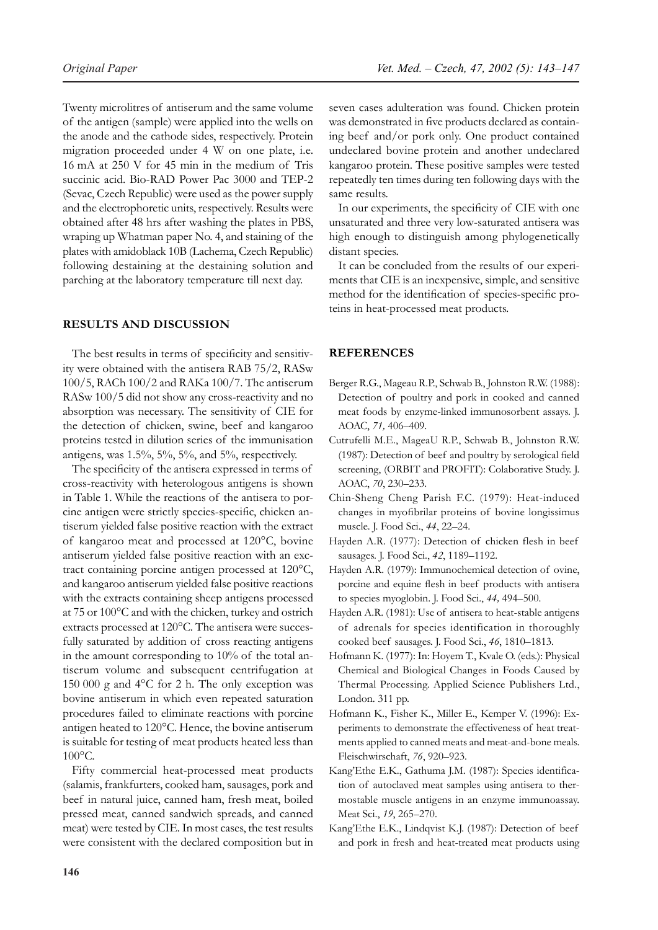Twenty microlitres of antiserum and the same volume of the antigen (sample) were applied into the wells on the anode and the cathode sides, respectively. Protein migration proceeded under 4 W on one plate, i.e. 16 mA at 250 V for 45 min in the medium of Tris succinic acid. Bio-RAD Power Pac 3000 and TEP-2 (Sevac, Czech Republic) were used as the power supply and the electrophoretic units, respectively. Results were obtained after 48 hrs after washing the plates in PBS, wraping up Whatman paper No. 4, and staining of the plates with amidoblack 10B (Lachema, Czech Republic) following destaining at the destaining solution and parching at the laboratory temperature till next day.

# **RESULTS AND DISCUSSION**

The best results in terms of specificity and sensitivity were obtained with the antisera RAB 75/2, RASw 100/5, RACh 100/2 and RAKa 100/7. The antiserum RASw 100/5 did not show any cross-reactivity and no absorption was necessary. The sensitivity of CIE for the detection of chicken, swine, beef and kangaroo proteins tested in dilution series of the immunisation antigens, was  $1.5\%, 5\%, 5\%,$  and  $5\%,$  respectively.

The specificity of the antisera expressed in terms of cross-reactivity with heterologous antigens is shown in Table 1. While the reactions of the antisera to porcine antigen were strictly species-specific, chicken antiserum yielded false positive reaction with the extract of kangaroo meat and processed at 120°C, bovine antiserum yielded false positive reaction with an exctract containing porcine antigen processed at 120°C, and kangaroo antiserum yielded false positive reactions with the extracts containing sheep antigens processed at 75 or 100°C and with the chicken, turkey and ostrich extracts processed at 120°C. The antisera were succesfully saturated by addition of cross reacting antigens in the amount corresponding to 10% of the total antiserum volume and subsequent centrifugation at 150 000 g and 4°C for 2 h. The only exception was bovine antiserum in which even repeated saturation procedures failed to eliminate reactions with porcine antigen heated to 120°C. Hence, the bovine antiserum is suitable for testing of meat products heated less than 100°C.

Fifty commercial heat-processed meat products (salamis, frankfurters, cooked ham, sausages, pork and beef in natural juice, canned ham, fresh meat, boiled pressed meat, canned sandwich spreads, and canned meat) were tested by CIE. In most cases, the test results were consistent with the declared composition but in seven cases adulteration was found. Chicken protein was demonstrated in five products declared as containing beef and/or pork only. One product contained undeclared bovine protein and another undeclared kangaroo protein. These positive samples were tested repeatedly ten times during ten following days with the same results.

In our experiments, the specificity of CIE with one unsaturated and three very low-saturated antisera was high enough to distinguish among phylogenetically distant species.

It can be concluded from the results of our experiments that CIE is an inexpensive, simple, and sensitive method for the identification of species-specific proteins in heat-processed meat products.

## **REFERENCES**

- Berger R.G., Mageau R.P., Schwab B., Johnston R.W. (1988): Detection of poultry and pork in cooked and canned meat foods by enzyme-linked immunosorbent assays. J. AOAC, *71,* 406–409.
- Cutrufelli M.E., MageaU R.P., Schwab B., Johnston R.W. (1987): Detection of beef and poultry by serological field screening, (ORBIT and PROFIT): Colaborative Study. J. AOAC, *70*, 230–233.
- Chin-Sheng Cheng Parish F.C. (1979): Heat-induced changes in myofibrilar proteins of bovine longissimus muscle. J. Food Sci., *44*, 22–24.
- Hayden A.R. (1977): Detection of chicken flesh in beef sausages. J. Food Sci., *42*, 1189–1192.
- Hayden A.R. (1979): Immunochemical detection of ovine, porcine and equine flesh in beef products with antisera to species myoglobin. J. Food Sci., *44,* 494–500.
- Hayden A.R. (1981): Use of antisera to heat-stable antigens of adrenals for species identification in thoroughly cooked beef sausages. J. Food Sci., *46*, 1810–1813.
- Hofmann K. (1977): In: Hoyem T., Kvale O. (eds.): Physical Chemical and Biological Changes in Foods Caused by Thermal Processing. Applied Science Publishers Ltd., London. 311 pp.
- Hofmann K., Fisher K., Miller E., Kemper V. (1996): Experiments to demonstrate the effectiveness of heat treatments applied to canned meats and meat-and-bone meals. Fleischwirschaft, *76*, 920–923.
- Kang'Ethe E.K., Gathuma J.M. (1987): Species identification of autoclaved meat samples using antisera to thermostable muscle antigens in an enzyme immunoassay. Meat Sci., *19*, 265–270.
- Kang'Ethe E.K., Lindqvist K.J. (1987): Detection of beef and pork in fresh and heat-treated meat products using